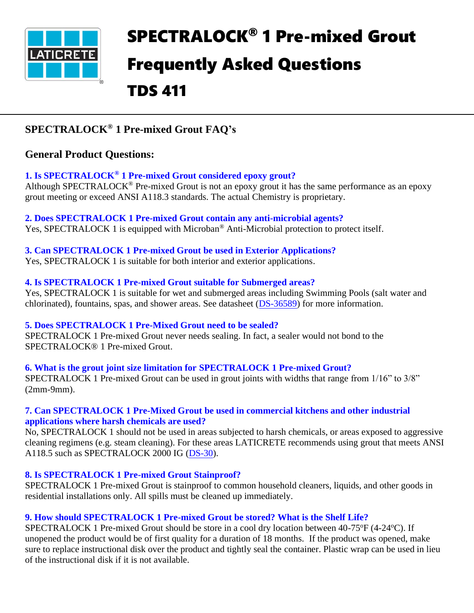

# SPECTRALOCK® 1 Pre-mixed Grout Frequently Asked Questions TDS 411

# **SPECTRALOCK® 1 Pre-mixed Grout FAQ's**

# **General Product Questions:**

# **1. Is SPECTRALOCK® 1 Pre-mixed Grout considered epoxy grout?**

Although SPECTRALOCK<sup>®</sup> Pre-mixed Grout is not an epoxy grout it has the same performance as an epoxy grout meeting or exceed ANSI A118.3 standards. The actual Chemistry is proprietary.

# **2. Does SPECTRALOCK 1 Pre-mixed Grout contain any anti-microbial agents?**

Yes, SPECTRALOCK 1 is equipped with Microban<sup>®</sup> Anti-Microbial protection to protect itself.

## **3. Can SPECTRALOCK 1 Pre-mixed Grout be used in Exterior Applications?**

Yes, SPECTRALOCK 1 is suitable for both interior and exterior applications.

# **4. Is SPECTRALOCK 1 Pre-mixed Grout suitable for Submerged areas?**

Yes, SPECTRALOCK 1 is suitable for wet and submerged areas including Swimming Pools (salt water and chlorinated), fountains, spas, and shower areas. See datasheet [\(DS-36589\)](https://cdn.laticrete.com/~/media/product-documents/product-data-sheets/ds-36589.ashx?la=en&vs=1&d=20200513T184337Z) for more information.

# **5. Does SPECTRALOCK 1 Pre-Mixed Grout need to be sealed?**

SPECTRALOCK 1 Pre-mixed Grout never needs sealing. In fact, a sealer would not bond to the SPECTRALOCK® 1 Pre-mixed Grout.

**6. What is the grout joint size limitation for SPECTRALOCK 1 Pre-mixed Grout?** SPECTRALOCK 1 Pre-mixed Grout can be used in grout joints with widths that range from 1/16" to 3/8" (2mm-9mm).

# **7. Can SPECTRALOCK 1 Pre-Mixed Grout be used in commercial kitchens and other industrial applications where harsh chemicals are used?**

No, SPECTRALOCK 1 should not be used in areas subjected to harsh chemicals, or areas exposed to aggressive cleaning regimens (e.g. steam cleaning). For these areas LATICRETE recommends using grout that meets ANSI A118.5 such as SPECTRALOCK 2000 IG [\(DS-30\)](https://cdn.laticrete.com/~/media/product-documents/product-data-sheets/ds-30.ashx?la=en&vs=1&d=20200428T193808Z).

# **8. Is SPECTRALOCK 1 Pre-mixed Grout Stainproof?**

SPECTRALOCK 1 Pre-mixed Grout is stainproof to common household cleaners, liquids, and other goods in residential installations only. All spills must be cleaned up immediately.

# **9. How should SPECTRALOCK 1 Pre-mixed Grout be stored? What is the Shelf Life?**

SPECTRALOCK 1 Pre-mixed Grout should be store in a cool dry location between 40-75°F (4-24°C). If unopened the product would be of first quality for a duration of 18 months. If the product was opened, make sure to replace instructional disk over the product and tightly seal the container. Plastic wrap can be used in lieu of the instructional disk if it is not available.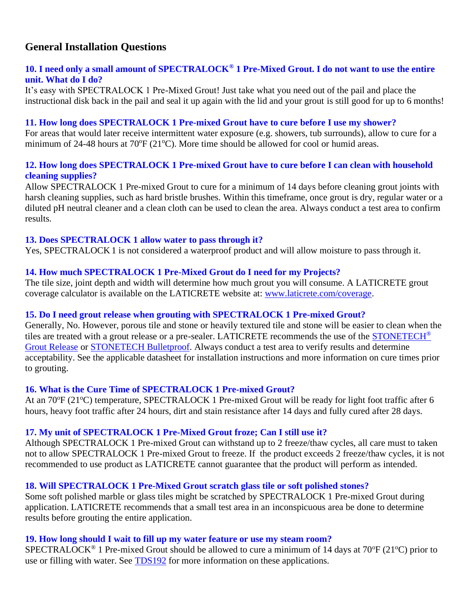# **General Installation Questions**

## **10. I need only a small amount of SPECTRALOCK® 1 Pre-Mixed Grout. I do not want to use the entire unit. What do I do?**

It's easy with SPECTRALOCK 1 Pre-Mixed Grout! Just take what you need out of the pail and place the instructional disk back in the pail and seal it up again with the lid and your grout is still good for up to 6 months!

#### **11. How long does SPECTRALOCK 1 Pre-mixed Grout have to cure before I use my shower?**

For areas that would later receive intermittent water exposure (e.g. showers, tub surrounds), allow to cure for a minimum of 24-48 hours at  $70^{\circ}F(21^{\circ}C)$ . More time should be allowed for cool or humid areas.

#### **12. How long does SPECTRALOCK 1 Pre-mixed Grout have to cure before I can clean with household cleaning supplies?**

Allow SPECTRALOCK 1 Pre-mixed Grout to cure for a minimum of 14 days before cleaning grout joints with harsh cleaning supplies, such as hard bristle brushes. Within this timeframe, once grout is dry, regular water or a diluted pH neutral cleaner and a clean cloth can be used to clean the area. Always conduct a test area to confirm results.

#### **13. Does SPECTRALOCK 1 allow water to pass through it?**

Yes, SPECTRALOCK 1 is not considered a waterproof product and will allow moisture to pass through it.

#### **14. How much SPECTRALOCK 1 Pre-Mixed Grout do I need for my Projects?**

The tile size, joint depth and width will determine how much grout you will consume. A LATICRETE grout coverage calculator is available on the LATICRETE website at: [www.laticrete.com/coverage.](http://www.laticrete.com/coverage)

## **15. Do I need grout release when grouting with SPECTRALOCK 1 Pre-mixed Grout?**

Generally, No. However, porous tile and stone or heavily textured tile and stone will be easier to clean when the tiles are treated with a grout release or a pre-sealer. LATICRETE recommends the use of the [STONETECH](https://cdn.laticrete.com/~/media/product-documents/product-data-sheets/ds-2135.ashx?la=en&vs=1&d=20200116T181959Z)<sup>®</sup> [Grout Release](https://cdn.laticrete.com/~/media/product-documents/product-data-sheets/ds-2135.ashx?la=en&vs=1&d=20200116T181959Z) or [STONETECH](https://cdn.laticrete.com/~/media/product-documents/product-data-sheets/ds-282.ashx?la=en&vs=1&d=20191126T174930Z) Bulletproof. Always conduct a test area to verify results and determine acceptability. See the applicable datasheet for installation instructions and more information on cure times prior to grouting.

#### **16. What is the Cure Time of SPECTRALOCK 1 Pre-mixed Grout?**

At an 70°F (21°C) temperature, SPECTRALOCK 1 Pre-mixed Grout will be ready for light foot traffic after 6 hours, heavy foot traffic after 24 hours, dirt and stain resistance after 14 days and fully cured after 28 days.

#### **17. My unit of SPECTRALOCK 1 Pre-Mixed Grout froze; Can I still use it?**

Although SPECTRALOCK 1 Pre-mixed Grout can withstand up to 2 freeze/thaw cycles, all care must to taken not to allow SPECTRALOCK 1 Pre-mixed Grout to freeze. If the product exceeds 2 freeze/thaw cycles, it is not recommended to use product as LATICRETE cannot guarantee that the product will perform as intended.

#### **18. Will SPECTRALOCK 1 Pre-Mixed Grout scratch glass tile or soft polished stones?**

Some soft polished marble or glass tiles might be scratched by SPECTRALOCK 1 Pre-mixed Grout during application. LATICRETE recommends that a small test area in an inconspicuous area be done to determine results before grouting the entire application.

#### **19. How long should I wait to fill up my water feature or use my steam room?**

SPECTRALOCK<sup>®</sup> 1 Pre-mixed Grout should be allowed to cure a minimum of 14 days at 70 $^{\circ}$ F (21 $^{\circ}$ C) prior to use or filling with water. See **TDS192** for more information on these applications.